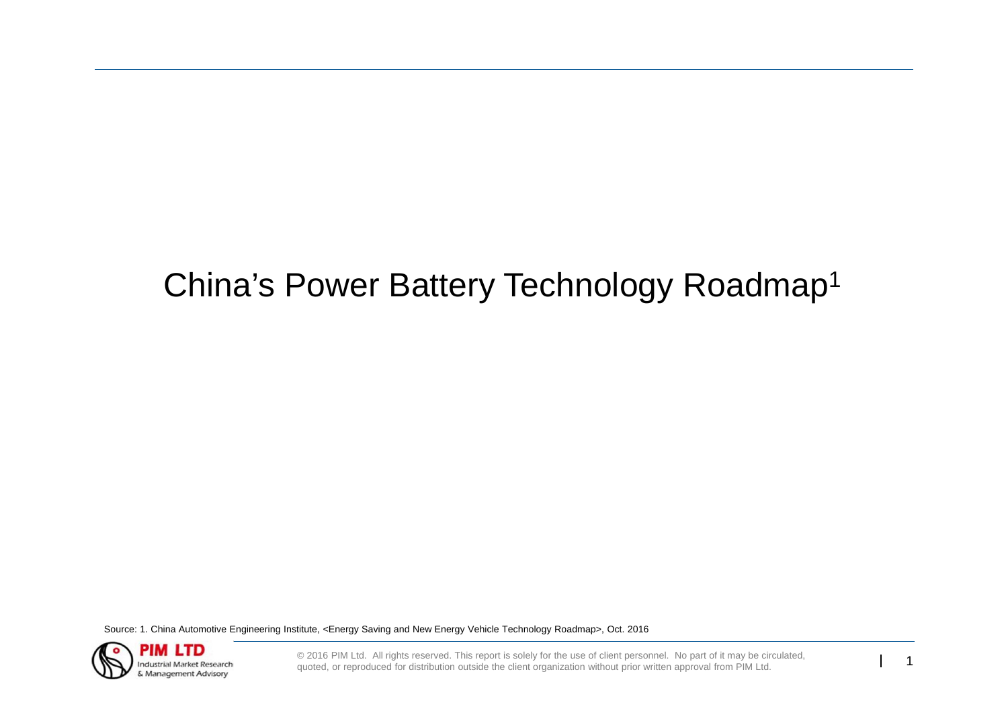# China's Power Battery Technology Roadmap1

Source: 1. China Automotive Engineering Institute, <Energy Saving and New Energy Vehicle Technology Roadmap>, Oct. 2016



© 2016 PIM Ltd. All rights reserved. This report is solely for the use of client personnel. No part of it may be circulated, quoted, or reproduced for distribution outside the client organization without prior written appr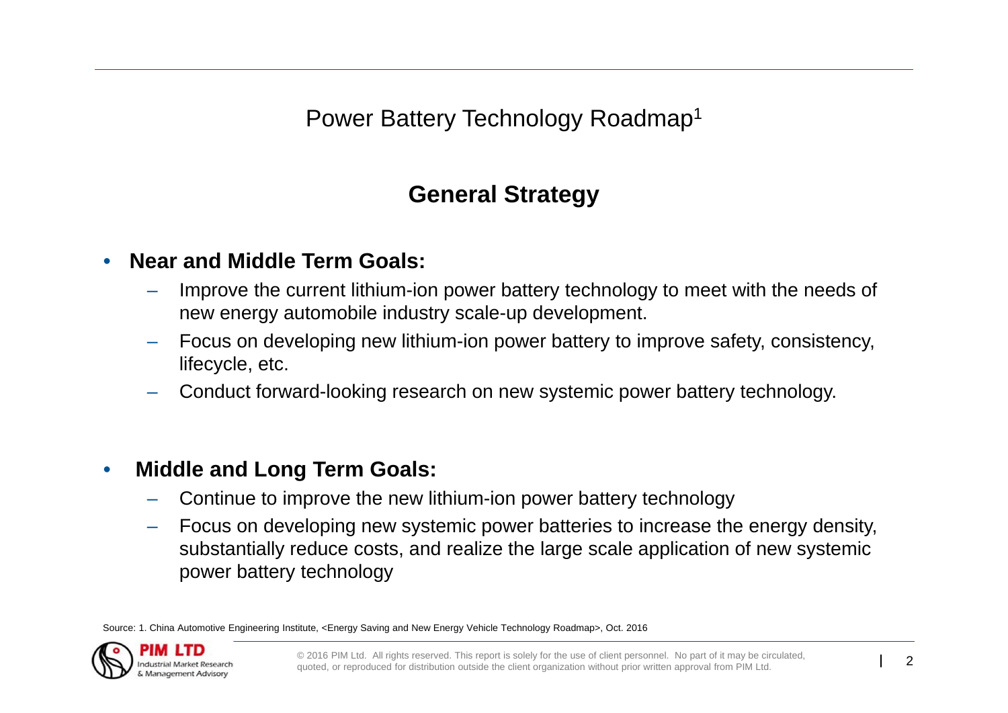Power Battery Technology Roadmap1

## **General Strategy**

#### •**Near and Middle Term Goals:**

- Improve the current lithium-ion power battery technology to meet with the needs of new energy automobile industry scale-up development.
- Focus on developing new lithium-ion power battery to improve safety, consistency, lifecycle, etc.
- Conduct forward-looking research on new systemic power battery technology.

#### •**Middle and Long Term Goals:**

- Continue to improve the new lithium-ion power battery technology
- Focus on developing new systemic power batteries to increase the energy density, substantially reduce costs, and realize the large scale application of new systemic power battery technology

Source: 1. China Automotive Engineering Institute, <Energy Saving and New Energy Vehicle Technology Roadmap>, Oct. 2016

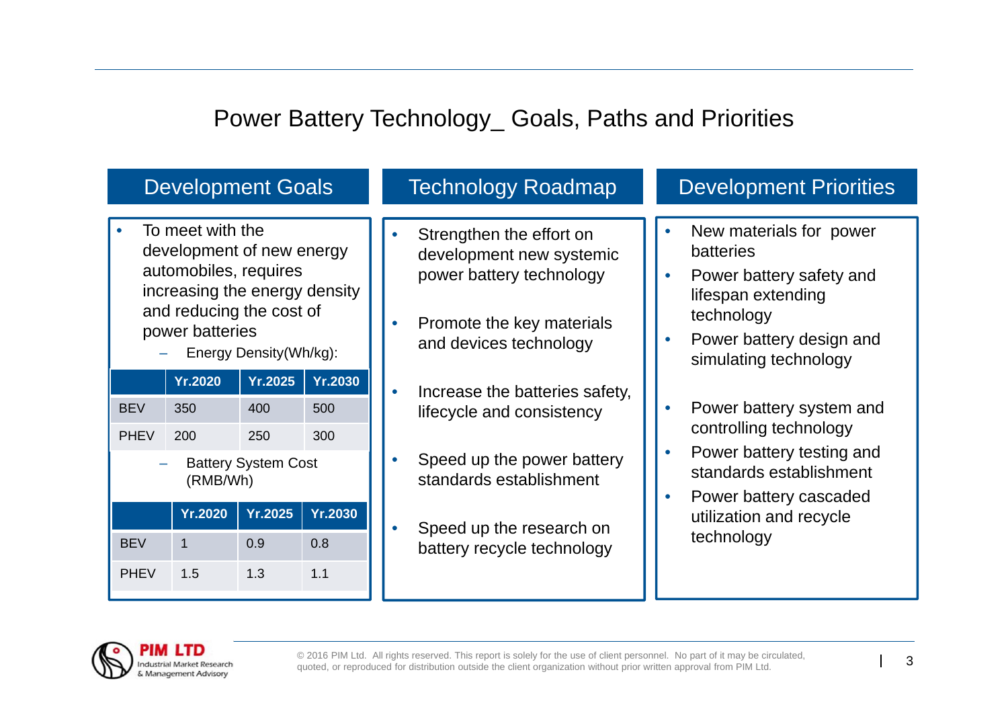## Power Battery Technology\_ Goals, Paths and Priorities

| <b>Development Goals</b>                                                                                                                                                         |                              |                              |                              | <b>Technology Roadmap</b>                                                                                                               |                        | <b>Development Priorities</b>                                                                                                                                                              |
|----------------------------------------------------------------------------------------------------------------------------------------------------------------------------------|------------------------------|------------------------------|------------------------------|-----------------------------------------------------------------------------------------------------------------------------------------|------------------------|--------------------------------------------------------------------------------------------------------------------------------------------------------------------------------------------|
| To meet with the<br>development of new energy<br>automobiles, requires<br>increasing the energy density<br>and reducing the cost of<br>power batteries<br>Energy Density(Wh/kg): |                              |                              |                              | Strengthen the effort on<br>development new systemic<br>power battery technology<br>Promote the key materials<br>and devices technology |                        | New materials for power<br><b>batteries</b><br>Power battery safety and<br>$\bullet$<br>lifespan extending<br>technology<br>Power battery design and<br>$\bullet$<br>simulating technology |
| <b>BEV</b><br><b>PHEV</b>                                                                                                                                                        | <b>Yr.2020</b><br>350<br>200 | <b>Yr.2025</b><br>400<br>250 | <b>Yr.2030</b><br>500<br>300 | Increase the batteries safety,<br>lifecycle and consistency                                                                             |                        | Power battery system and<br>$\bullet$<br>controlling technology                                                                                                                            |
| <b>Battery System Cost</b><br>(RMB/Wh)<br><b>Yr.2030</b><br><b>Yr.2020</b><br><b>Yr.2025</b>                                                                                     |                              |                              |                              | Speed up the power battery<br>standards establishment                                                                                   | $\bullet$<br>$\bullet$ | Power battery testing and<br>standards establishment<br>Power battery cascaded<br>utilization and recycle                                                                                  |
| <b>BEV</b><br><b>PHEV</b>                                                                                                                                                        | $\mathbf 1$<br>1.5           | 0.9<br>1.3                   | 0.8<br>1.1                   | Speed up the research on<br>battery recycle technology                                                                                  |                        | technology                                                                                                                                                                                 |

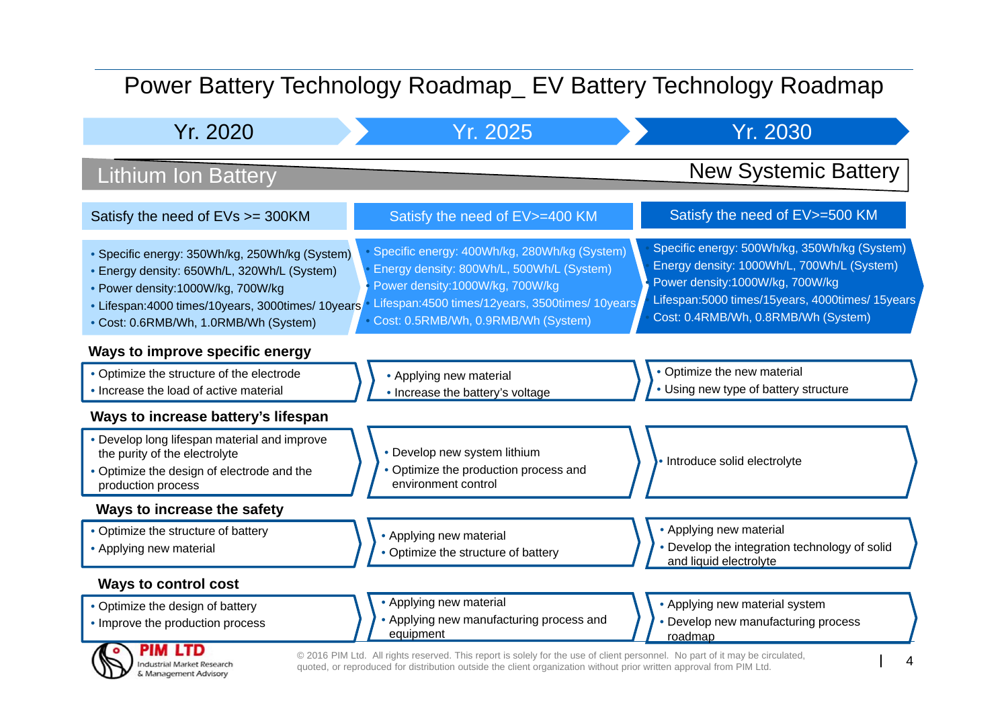## Power Battery Technology Roadmap\_ EV Battery Technology Roadmap

| Yr. 2020                                                                                                                                                                                                                          | Yr. 2025                                                                                                                                                                                                                  | Yr. 2030                                                                                                                                                                                                                |  |  |  |
|-----------------------------------------------------------------------------------------------------------------------------------------------------------------------------------------------------------------------------------|---------------------------------------------------------------------------------------------------------------------------------------------------------------------------------------------------------------------------|-------------------------------------------------------------------------------------------------------------------------------------------------------------------------------------------------------------------------|--|--|--|
| <b>Lithium Ion Battery</b>                                                                                                                                                                                                        |                                                                                                                                                                                                                           | <b>New Systemic Battery</b>                                                                                                                                                                                             |  |  |  |
| Satisfy the need of EVs >= 300KM                                                                                                                                                                                                  | Satisfy the need of EV>=400 KM                                                                                                                                                                                            | Satisfy the need of EV>=500 KM                                                                                                                                                                                          |  |  |  |
| • Specific energy: 350Wh/kg, 250Wh/kg (System)<br>• Energy density: 650Wh/L, 320Wh/L (System)<br>• Power density:1000W/kg, 700W/kg<br>• Lifespan: 4000 times/10years, 3000times/ 10years<br>• Cost: 0.6RMB/Wh, 1.0RMB/Wh (System) | · Specific energy: 400Wh/kg, 280Wh/kg (System)<br>Energy density: 800Wh/L, 500Wh/L (System)<br>Power density:1000W/kg, 700W/kg<br>Lifespan:4500 times/12years, 3500times/ 10years,<br>Cost: 0.5RMB/Wh, 0.9RMB/Wh (System) | Specific energy: 500Wh/kg, 350Wh/kg (System)<br>Energy density: 1000Wh/L, 700Wh/L (System)<br>Power density:1000W/kg, 700W/kg<br>Lifespan:5000 times/15years, 4000times/ 15years<br>Cost: 0.4RMB/Wh, 0.8RMB/Wh (System) |  |  |  |
| Ways to improve specific energy                                                                                                                                                                                                   |                                                                                                                                                                                                                           |                                                                                                                                                                                                                         |  |  |  |
| • Optimize the structure of the electrode<br>• Increase the load of active material                                                                                                                                               | • Applying new material<br>• Increase the battery's voltage                                                                                                                                                               | • Optimize the new material<br>• Using new type of battery structure                                                                                                                                                    |  |  |  |
| Ways to increase battery's lifespan                                                                                                                                                                                               |                                                                                                                                                                                                                           |                                                                                                                                                                                                                         |  |  |  |
| • Develop long lifespan material and improve<br>the purity of the electrolyte<br>• Optimize the design of electrode and the<br>production process                                                                                 | • Develop new system lithium<br>• Optimize the production process and<br>environment control                                                                                                                              | • Introduce solid electrolyte                                                                                                                                                                                           |  |  |  |
| Ways to increase the safety                                                                                                                                                                                                       |                                                                                                                                                                                                                           |                                                                                                                                                                                                                         |  |  |  |
| • Optimize the structure of battery<br>• Applying new material                                                                                                                                                                    | • Applying new material<br>• Optimize the structure of battery                                                                                                                                                            | • Applying new material<br>• Develop the integration technology of solid<br>and liquid electrolyte                                                                                                                      |  |  |  |
| <b>Ways to control cost</b>                                                                                                                                                                                                       |                                                                                                                                                                                                                           |                                                                                                                                                                                                                         |  |  |  |
| • Optimize the design of battery<br>• Improve the production process<br><b>PIM LTD</b><br>$\bullet$                                                                                                                               | • Applying new material<br>• Applying new manufacturing process and<br>equipment                                                                                                                                          | • Applying new material system<br>• Develop new manufacturing process<br>roadmap                                                                                                                                        |  |  |  |

© 2016 PIM Ltd. All rights reserved. This report is solely for the use of client personnel. No part of it may be circulated,<br>quoted, or reproduced for distribution outside the client organization without prior written appr

**Industrial Market Research** & Management Advisory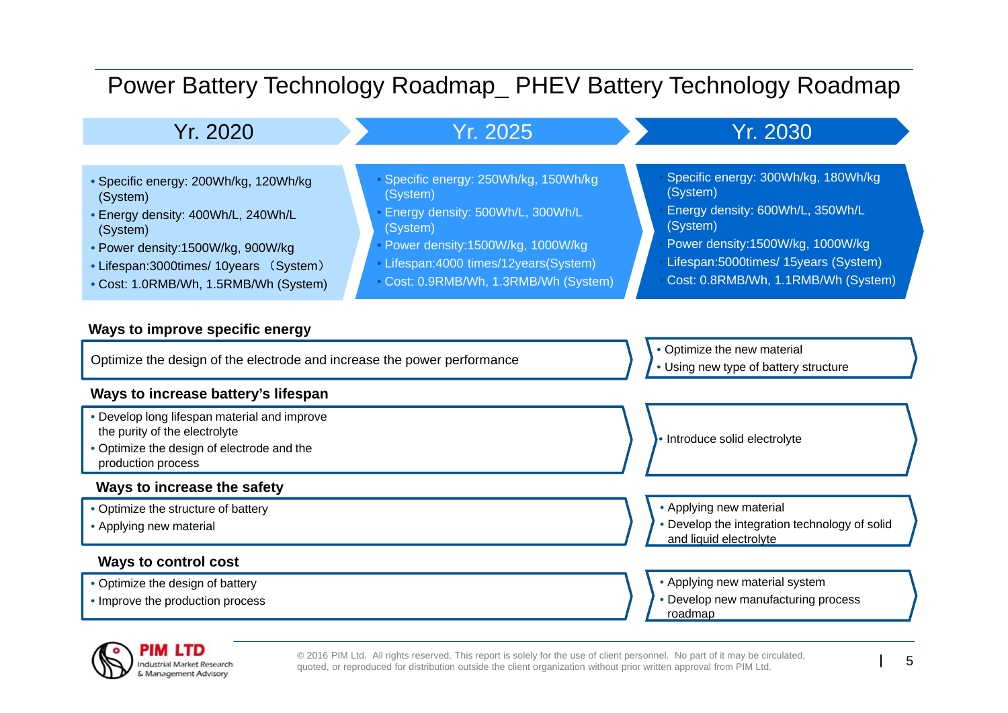## Power Battery Technology Roadmap\_ PHEV Battery Technology Roadmap

Yr. 2020

### Yr. 2025 Yr. 2030

• Specific energy: 250Wh/kg, 150Wh/kg

• Energy density: 500Wh/L, 300Wh/L

• Power density:1500W/kg, 1000W/kg • Lifespan:4000 times/12years(System) • Cost: 0.9RMB/Wh, 1.3RMB/Wh (System)

(System)

(System)

- Specific energy: 200Wh/kg, 120Wh/kg (System)
- Energy density: 400Wh/L, 240Wh/L (System)
- Power density:1500W/kg, 900W/kg
- Lifespan:3000times/ 10years (System)
- Cost: 1.0RMB/Wh, 1.5RMB/Wh (System)

### **Ways to improve specific energy**

Optimize the design of the electrode and increase the power performance

### **Ways to increase battery's lifespan**

- Develop long lifespan material and improve the purity of the electrolyte
- Optimize the design of electrode and the production process

### **Ways to increase the safety**

- Optimize the structure of battery
- Applying new material

### **Ways to control cost**

- Optimize the design of battery
- Improve the production process

• Optimize the new material

(System)

(System)

• Using new type of battery structure

Specific energy: 300Wh/kg, 180Wh/kg

Energy density: 600Wh/L, 350Wh/L

 Power density:1500W/kg, 1000W/kg Lifespan:5000times/ 15years (System) Cost: 0.8RMB/Wh, 1.1RMB/Wh (System)

• Introduce solid electrolyte

• Applying new material

- Develop the integration technology of solid and liquid electrolyte
- Applying new material system
- Develop new manufacturing process roadmap



© 2016 PIM Ltd. All rights reserved. This report is solely for the use of client personnel. No part of it may be circulated, quoted, or reproduced for distribution outside the client organization without prior written appr